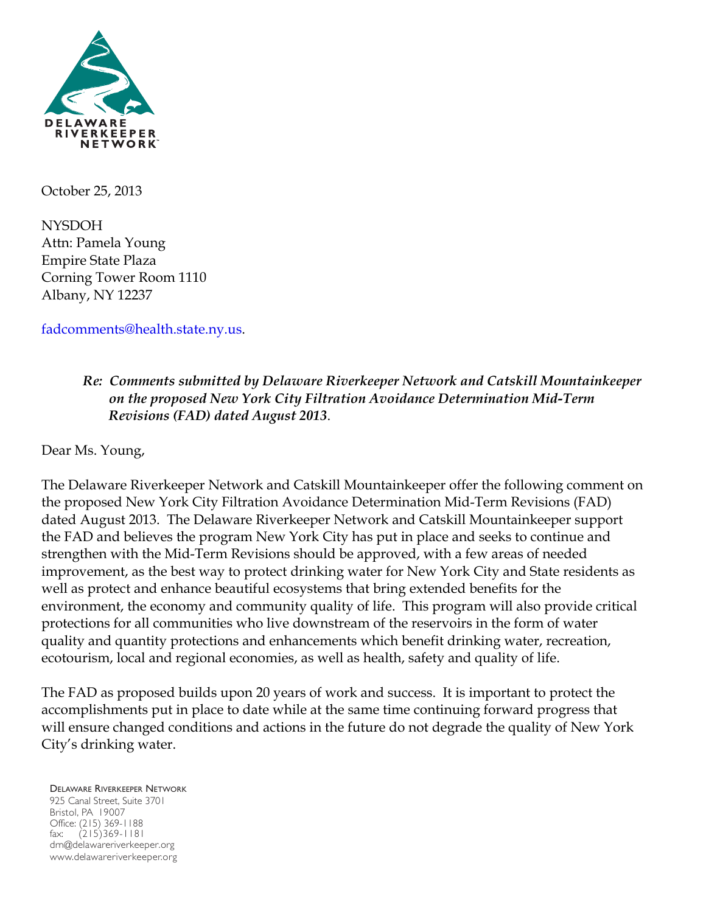

October 25, 2013

NYSDOH Attn: Pamela Young Empire State Plaza Corning Tower Room 1110 Albany, NY 12237

fadcomments@health.state.ny.us.

# *Re: Comments submitted by Delaware Riverkeeper Network and Catskill Mountainkeeper on the proposed New York City Filtration Avoidance Determination Mid-Term Revisions (FAD) dated August 2013*.

Dear Ms. Young,

The Delaware Riverkeeper Network and Catskill Mountainkeeper offer the following comment on the proposed New York City Filtration Avoidance Determination Mid-Term Revisions (FAD) dated August 2013. The Delaware Riverkeeper Network and Catskill Mountainkeeper support the FAD and believes the program New York City has put in place and seeks to continue and strengthen with the Mid-Term Revisions should be approved, with a few areas of needed improvement, as the best way to protect drinking water for New York City and State residents as well as protect and enhance beautiful ecosystems that bring extended benefits for the environment, the economy and community quality of life. This program will also provide critical protections for all communities who live downstream of the reservoirs in the form of water quality and quantity protections and enhancements which benefit drinking water, recreation, ecotourism, local and regional economies, as well as health, safety and quality of life.

The FAD as proposed builds upon 20 years of work and success. It is important to protect the accomplishments put in place to date while at the same time continuing forward progress that will ensure changed conditions and actions in the future do not degrade the quality of New York City's drinking water.

#### DELAWARE RIVERKEEPER NETWORK

925 Canal Street, Suite 3701 Bristol, PA 19007 Office: (215) 369-1188 fax: (215)369-1181 drn@delawareriverkeeper.org www.delawareriverkeeper.org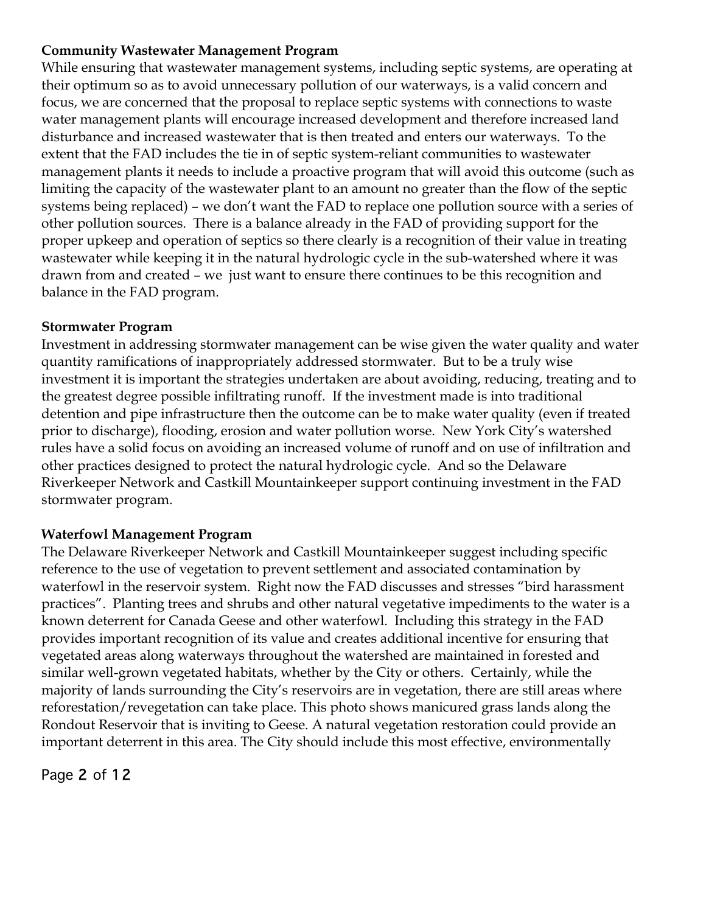#### **Community Wastewater Management Program**

While ensuring that wastewater management systems, including septic systems, are operating at their optimum so as to avoid unnecessary pollution of our waterways, is a valid concern and focus, we are concerned that the proposal to replace septic systems with connections to waste water management plants will encourage increased development and therefore increased land disturbance and increased wastewater that is then treated and enters our waterways. To the extent that the FAD includes the tie in of septic system-reliant communities to wastewater management plants it needs to include a proactive program that will avoid this outcome (such as limiting the capacity of the wastewater plant to an amount no greater than the flow of the septic systems being replaced) – we don't want the FAD to replace one pollution source with a series of other pollution sources. There is a balance already in the FAD of providing support for the proper upkeep and operation of septics so there clearly is a recognition of their value in treating wastewater while keeping it in the natural hydrologic cycle in the sub-watershed where it was drawn from and created – we just want to ensure there continues to be this recognition and balance in the FAD program.

# **Stormwater Program**

Investment in addressing stormwater management can be wise given the water quality and water quantity ramifications of inappropriately addressed stormwater. But to be a truly wise investment it is important the strategies undertaken are about avoiding, reducing, treating and to the greatest degree possible infiltrating runoff. If the investment made is into traditional detention and pipe infrastructure then the outcome can be to make water quality (even if treated prior to discharge), flooding, erosion and water pollution worse. New York City's watershed rules have a solid focus on avoiding an increased volume of runoff and on use of infiltration and other practices designed to protect the natural hydrologic cycle. And so the Delaware Riverkeeper Network and Castkill Mountainkeeper support continuing investment in the FAD stormwater program.

# **Waterfowl Management Program**

The Delaware Riverkeeper Network and Castkill Mountainkeeper suggest including specific reference to the use of vegetation to prevent settlement and associated contamination by waterfowl in the reservoir system. Right now the FAD discusses and stresses "bird harassment practices". Planting trees and shrubs and other natural vegetative impediments to the water is a known deterrent for Canada Geese and other waterfowl. Including this strategy in the FAD provides important recognition of its value and creates additional incentive for ensuring that vegetated areas along waterways throughout the watershed are maintained in forested and similar well-grown vegetated habitats, whether by the City or others. Certainly, while the majority of lands surrounding the City's reservoirs are in vegetation, there are still areas where reforestation/revegetation can take place. This photo shows manicured grass lands along the Rondout Reservoir that is inviting to Geese. A natural vegetation restoration could provide an important deterrent in this area. The City should include this most effective, environmentally

Page 2 of 12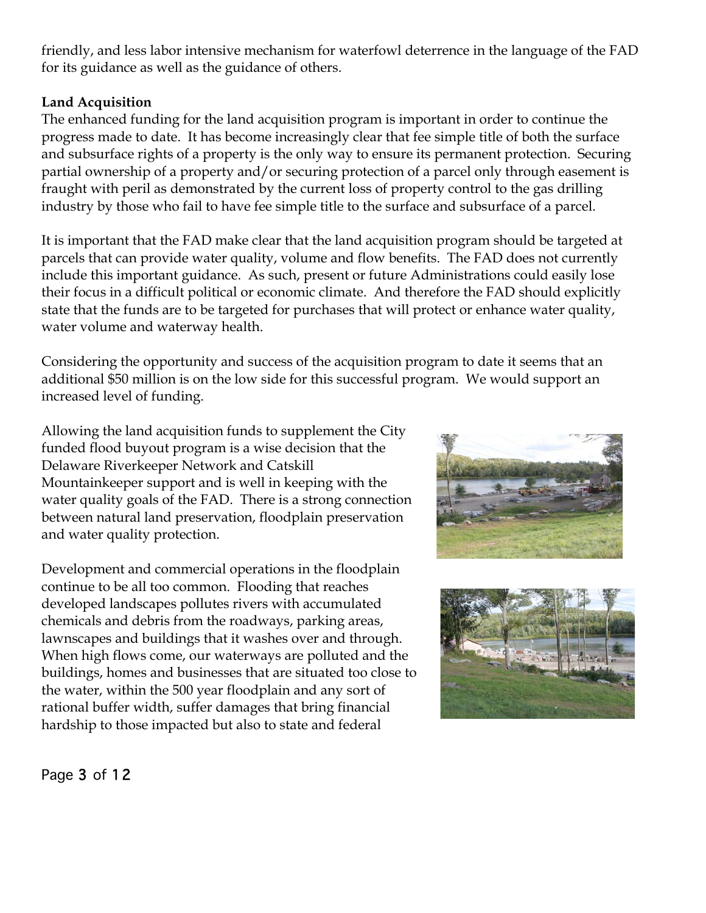friendly, and less labor intensive mechanism for waterfowl deterrence in the language of the FAD for its guidance as well as the guidance of others.

#### **Land Acquisition**

The enhanced funding for the land acquisition program is important in order to continue the progress made to date. It has become increasingly clear that fee simple title of both the surface and subsurface rights of a property is the only way to ensure its permanent protection. Securing partial ownership of a property and/or securing protection of a parcel only through easement is fraught with peril as demonstrated by the current loss of property control to the gas drilling industry by those who fail to have fee simple title to the surface and subsurface of a parcel.

It is important that the FAD make clear that the land acquisition program should be targeted at parcels that can provide water quality, volume and flow benefits. The FAD does not currently include this important guidance. As such, present or future Administrations could easily lose their focus in a difficult political or economic climate. And therefore the FAD should explicitly state that the funds are to be targeted for purchases that will protect or enhance water quality, water volume and waterway health.

Considering the opportunity and success of the acquisition program to date it seems that an additional \$50 million is on the low side for this successful program. We would support an increased level of funding.

Allowing the land acquisition funds to supplement the City funded flood buyout program is a wise decision that the Delaware Riverkeeper Network and Catskill Mountainkeeper support and is well in keeping with the water quality goals of the FAD. There is a strong connection between natural land preservation, floodplain preservation and water quality protection.

Development and commercial operations in the floodplain continue to be all too common. Flooding that reaches developed landscapes pollutes rivers with accumulated chemicals and debris from the roadways, parking areas, lawnscapes and buildings that it washes over and through. When high flows come, our waterways are polluted and the buildings, homes and businesses that are situated too close to the water, within the 500 year floodplain and any sort of rational buffer width, suffer damages that bring financial hardship to those impacted but also to state and federal





Page 3 of 12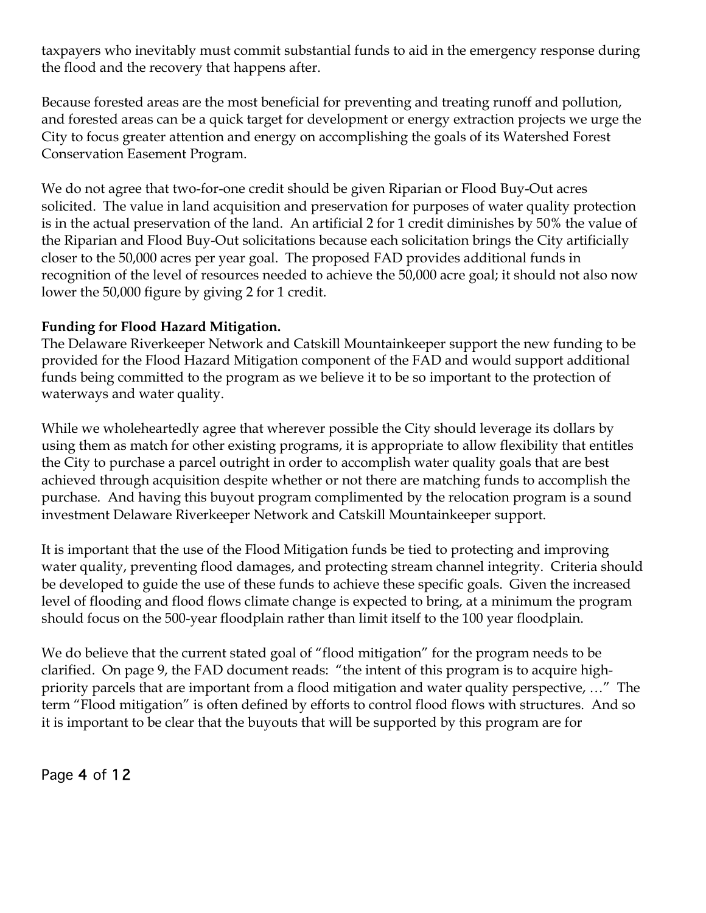taxpayers who inevitably must commit substantial funds to aid in the emergency response during the flood and the recovery that happens after.

Because forested areas are the most beneficial for preventing and treating runoff and pollution, and forested areas can be a quick target for development or energy extraction projects we urge the City to focus greater attention and energy on accomplishing the goals of its Watershed Forest Conservation Easement Program.

We do not agree that two-for-one credit should be given Riparian or Flood Buy-Out acres solicited. The value in land acquisition and preservation for purposes of water quality protection is in the actual preservation of the land. An artificial 2 for 1 credit diminishes by 50% the value of the Riparian and Flood Buy-Out solicitations because each solicitation brings the City artificially closer to the 50,000 acres per year goal. The proposed FAD provides additional funds in recognition of the level of resources needed to achieve the 50,000 acre goal; it should not also now lower the 50,000 figure by giving 2 for 1 credit.

# **Funding for Flood Hazard Mitigation.**

The Delaware Riverkeeper Network and Catskill Mountainkeeper support the new funding to be provided for the Flood Hazard Mitigation component of the FAD and would support additional funds being committed to the program as we believe it to be so important to the protection of waterways and water quality.

While we wholeheartedly agree that wherever possible the City should leverage its dollars by using them as match for other existing programs, it is appropriate to allow flexibility that entitles the City to purchase a parcel outright in order to accomplish water quality goals that are best achieved through acquisition despite whether or not there are matching funds to accomplish the purchase. And having this buyout program complimented by the relocation program is a sound investment Delaware Riverkeeper Network and Catskill Mountainkeeper support.

It is important that the use of the Flood Mitigation funds be tied to protecting and improving water quality, preventing flood damages, and protecting stream channel integrity. Criteria should be developed to guide the use of these funds to achieve these specific goals. Given the increased level of flooding and flood flows climate change is expected to bring, at a minimum the program should focus on the 500-year floodplain rather than limit itself to the 100 year floodplain.

We do believe that the current stated goal of "flood mitigation" for the program needs to be clarified. On page 9, the FAD document reads: "the intent of this program is to acquire highpriority parcels that are important from a flood mitigation and water quality perspective, …" The term "Flood mitigation" is often defined by efforts to control flood flows with structures. And so it is important to be clear that the buyouts that will be supported by this program are for

Page 4 of 12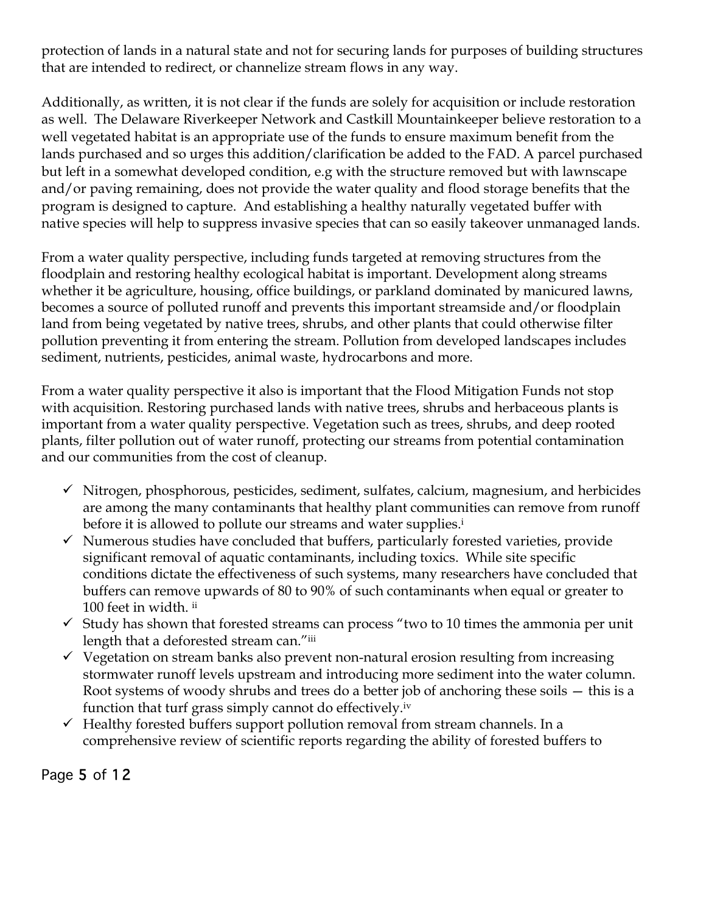protection of lands in a natural state and not for securing lands for purposes of building structures that are intended to redirect, or channelize stream flows in any way.

Additionally, as written, it is not clear if the funds are solely for acquisition or include restoration as well. The Delaware Riverkeeper Network and Castkill Mountainkeeper believe restoration to a well vegetated habitat is an appropriate use of the funds to ensure maximum benefit from the lands purchased and so urges this addition/clarification be added to the FAD. A parcel purchased but left in a somewhat developed condition, e.g with the structure removed but with lawnscape and/or paving remaining, does not provide the water quality and flood storage benefits that the program is designed to capture. And establishing a healthy naturally vegetated buffer with native species will help to suppress invasive species that can so easily takeover unmanaged lands.

From a water quality perspective, including funds targeted at removing structures from the floodplain and restoring healthy ecological habitat is important. Development along streams whether it be agriculture, housing, office buildings, or parkland dominated by manicured lawns, becomes a source of polluted runoff and prevents this important streamside and/or floodplain land from being vegetated by native trees, shrubs, and other plants that could otherwise filter pollution preventing it from entering the stream. Pollution from developed landscapes includes sediment, nutrients, pesticides, animal waste, hydrocarbons and more.

From a water quality perspective it also is important that the Flood Mitigation Funds not stop with acquisition. Restoring purchased lands with native trees, shrubs and herbaceous plants is important from a water quality perspective. Vegetation such as trees, shrubs, and deep rooted plants, filter pollution out of water runoff, protecting our streams from potential contamination and our communities from the cost of cleanup.

- $\checkmark$  Nitrogen, phosphorous, pesticides, sediment, sulfates, calcium, magnesium, and herbicides are among the many contaminants that healthy plant communities can remove from runoff before it is allowed to pollute our streams and water supplies.<sup>i</sup>
- $\checkmark$  Numerous studies have concluded that buffers, particularly forested varieties, provide significant removal of aquatic contaminants, including toxics. While site specific conditions dictate the effectiveness of such systems, many researchers have concluded that buffers can remove upwards of 80 to 90% of such contaminants when equal or greater to 100 feet in width. ii
- $\checkmark$  Study has shown that forested streams can process "two to 10 times the ammonia per unit length that a deforested stream can."iii
- $\checkmark$  Vegetation on stream banks also prevent non-natural erosion resulting from increasing stormwater runoff levels upstream and introducing more sediment into the water column. Root systems of woody shrubs and trees do a better job of anchoring these soils — this is a function that turf grass simply cannot do effectively.iv
- $\checkmark$  Healthy forested buffers support pollution removal from stream channels. In a comprehensive review of scientific reports regarding the ability of forested buffers to

Page 5 of 12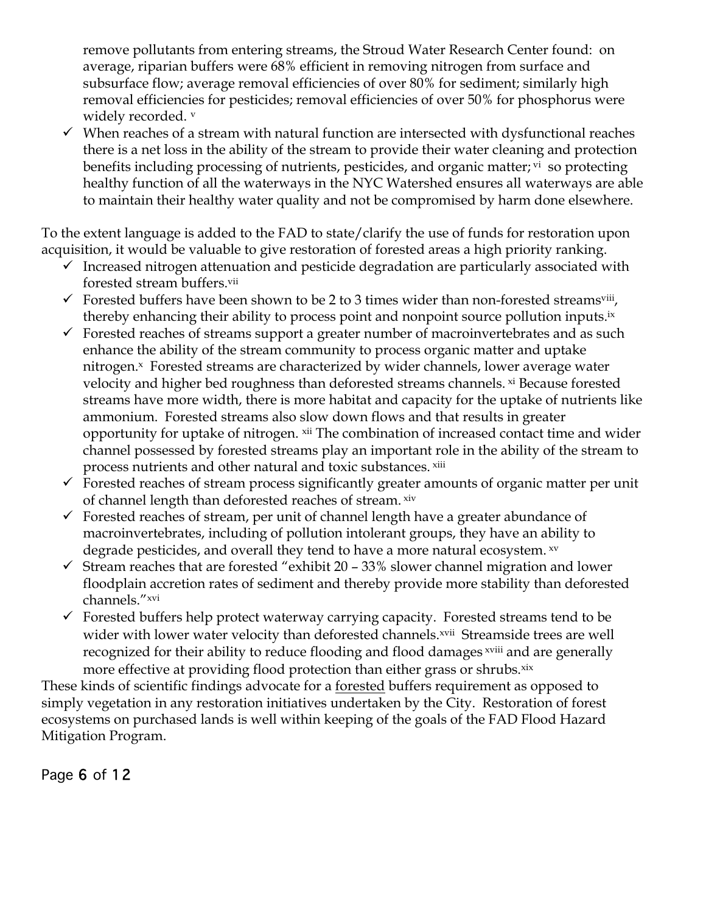remove pollutants from entering streams, the Stroud Water Research Center found: on average, riparian buffers were 68% efficient in removing nitrogen from surface and subsurface flow; average removal efficiencies of over 80% for sediment; similarly high removal efficiencies for pesticides; removal efficiencies of over 50% for phosphorus were widely recorded. v

 $\checkmark$  When reaches of a stream with natural function are intersected with dysfunctional reaches there is a net loss in the ability of the stream to provide their water cleaning and protection benefits including processing of nutrients, pesticides, and organic matter; v<sup>i</sup> so protecting healthy function of all the waterways in the NYC Watershed ensures all waterways are able to maintain their healthy water quality and not be compromised by harm done elsewhere.

To the extent language is added to the FAD to state/clarify the use of funds for restoration upon acquisition, it would be valuable to give restoration of forested areas a high priority ranking.

- $\checkmark$  Increased nitrogen attenuation and pesticide degradation are particularly associated with forested stream buffers.vii
- $\checkmark$  Forested buffers have been shown to be 2 to 3 times wider than non-forested streams<sup>viii</sup>, thereby enhancing their ability to process point and nonpoint source pollution inputs.<sup>ix</sup>
- $\checkmark$  Forested reaches of streams support a greater number of macroinvertebrates and as such enhance the ability of the stream community to process organic matter and uptake nitrogen.<sup>x</sup> Forested streams are characterized by wider channels, lower average water velocity and higher bed roughness than deforested streams channels. *xi* Because forested streams have more width, there is more habitat and capacity for the uptake of nutrients like ammonium. Forested streams also slow down flows and that results in greater opportunity for uptake of nitrogen. xii The combination of increased contact time and wider channel possessed by forested streams play an important role in the ability of the stream to process nutrients and other natural and toxic substances. xiii
- $\checkmark$  Forested reaches of stream process significantly greater amounts of organic matter per unit of channel length than deforested reaches of stream. xiv
- $\checkmark$  Forested reaches of stream, per unit of channel length have a greater abundance of macroinvertebrates, including of pollution intolerant groups, they have an ability to degrade pesticides, and overall they tend to have a more natural ecosystem.  $xv$
- $\checkmark$  Stream reaches that are forested "exhibit 20 33% slower channel migration and lower floodplain accretion rates of sediment and thereby provide more stability than deforested channels."xvi
- $\checkmark$  Forested buffers help protect waterway carrying capacity. Forested streams tend to be wider with lower water velocity than deforested channels.<sup>xvii</sup> Streamside trees are well recognized for their ability to reduce flooding and flood damages xviii and are generally more effective at providing flood protection than either grass or shrubs.<sup>xix</sup>

These kinds of scientific findings advocate for a forested buffers requirement as opposed to simply vegetation in any restoration initiatives undertaken by the City. Restoration of forest ecosystems on purchased lands is well within keeping of the goals of the FAD Flood Hazard Mitigation Program.

Page 6 of 12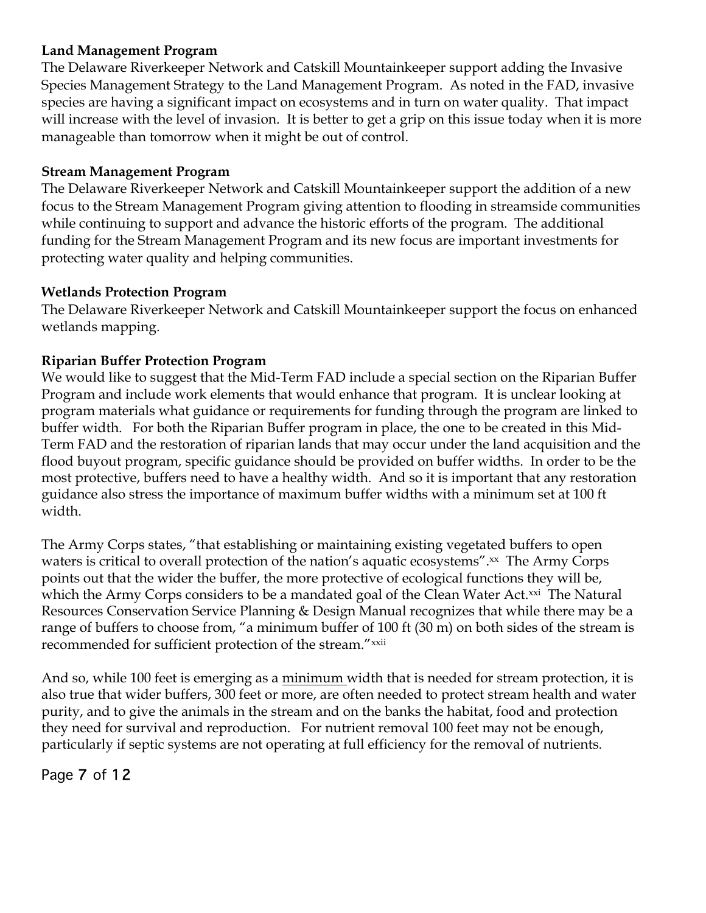#### **Land Management Program**

The Delaware Riverkeeper Network and Catskill Mountainkeeper support adding the Invasive Species Management Strategy to the Land Management Program. As noted in the FAD, invasive species are having a significant impact on ecosystems and in turn on water quality. That impact will increase with the level of invasion. It is better to get a grip on this issue today when it is more manageable than tomorrow when it might be out of control.

# **Stream Management Program**

The Delaware Riverkeeper Network and Catskill Mountainkeeper support the addition of a new focus to the Stream Management Program giving attention to flooding in streamside communities while continuing to support and advance the historic efforts of the program. The additional funding for the Stream Management Program and its new focus are important investments for protecting water quality and helping communities.

# **Wetlands Protection Program**

The Delaware Riverkeeper Network and Catskill Mountainkeeper support the focus on enhanced wetlands mapping.

# **Riparian Buffer Protection Program**

We would like to suggest that the Mid-Term FAD include a special section on the Riparian Buffer Program and include work elements that would enhance that program. It is unclear looking at program materials what guidance or requirements for funding through the program are linked to buffer width. For both the Riparian Buffer program in place, the one to be created in this Mid-Term FAD and the restoration of riparian lands that may occur under the land acquisition and the flood buyout program, specific guidance should be provided on buffer widths. In order to be the most protective, buffers need to have a healthy width. And so it is important that any restoration guidance also stress the importance of maximum buffer widths with a minimum set at 100 ft width.

The Army Corps states, "that establishing or maintaining existing vegetated buffers to open waters is critical to overall protection of the nation's aquatic ecosystems".xx The Army Corps points out that the wider the buffer, the more protective of ecological functions they will be, which the Army Corps considers to be a mandated goal of the Clean Water Act.<sup>xxi</sup> The Natural Resources Conservation Service Planning & Design Manual recognizes that while there may be a range of buffers to choose from, "a minimum buffer of 100 ft (30 m) on both sides of the stream is recommended for sufficient protection of the stream." xxii

And so, while 100 feet is emerging as a minimum width that is needed for stream protection, it is also true that wider buffers, 300 feet or more, are often needed to protect stream health and water purity, and to give the animals in the stream and on the banks the habitat, food and protection they need for survival and reproduction. For nutrient removal 100 feet may not be enough, particularly if septic systems are not operating at full efficiency for the removal of nutrients.

# Page 7 of 12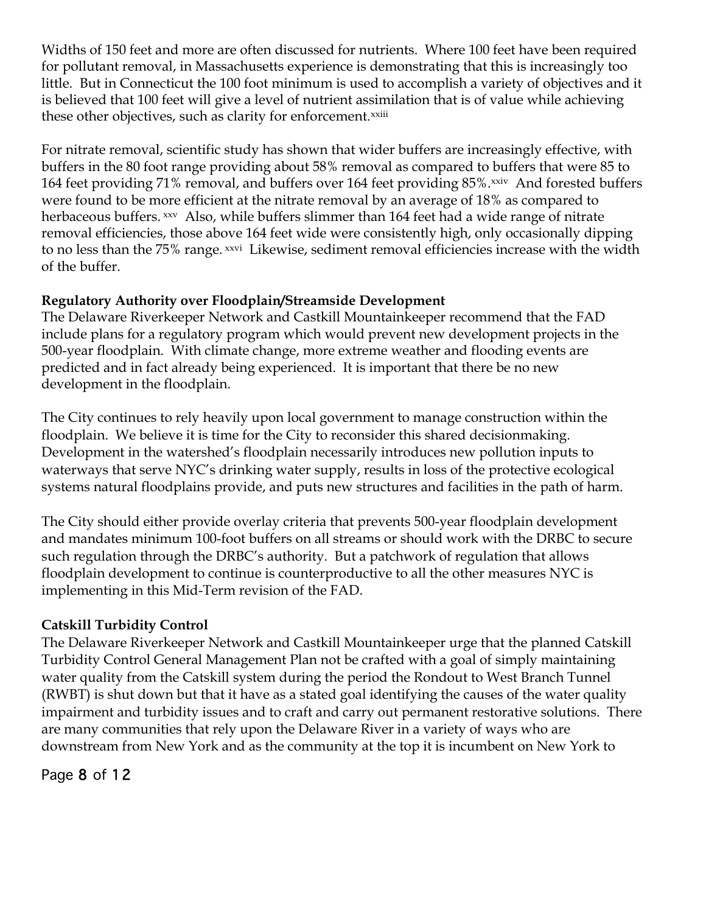Widths of 150 feet and more are often discussed for nutrients. Where 100 feet have been required for pollutant removal, in Massachusetts experience is demonstrating that this is increasingly too little. But in Connecticut the 100 foot minimum is used to accomplish a variety of objectives and it is believed that 100 feet will give a level of nutrient assimilation that is of value while achieving these other objectives, such as clarity for enforcement.<sup>xxiii</sup>

For nitrate removal, scientific study has shown that wider buffers are increasingly effective, with buffers in the 80 foot range providing about 58% removal as compared to buffers that were 85 to 164 feet providing 71% removal, and buffers over 164 feet providing 85%.<sup>xxiv</sup> And forested buffers were found to be more efficient at the nitrate removal by an average of 18% as compared to herbaceous buffers. xxv Also, while buffers slimmer than 164 feet had a wide range of nitrate removal efficiencies, those above 164 feet wide were consistently high, only occasionally dipping to no less than the 75% range. *xxvi* Likewise, sediment removal efficiencies increase with the width of the buffer.

# **Regulatory Authority over Floodplain/Streamside Development**

The Delaware Riverkeeper Network and Castkill Mountainkeeper recommend that the FAD include plans for a regulatory program which would prevent new development projects in the 500-year floodplain. With climate change, more extreme weather and flooding events are predicted and in fact already being experienced. It is important that there be no new development in the floodplain.

The City continues to rely heavily upon local government to manage construction within the floodplain. We believe it is time for the City to reconsider this shared decisionmaking. Development in the watershed's floodplain necessarily introduces new pollution inputs to waterways that serve NYC's drinking water supply, results in loss of the protective ecological systems natural floodplains provide, and puts new structures and facilities in the path of harm.

The City should either provide overlay criteria that prevents 500-year floodplain development and mandates minimum 100-foot buffers on all streams or should work with the DRBC to secure such regulation through the DRBC's authority. But a patchwork of regulation that allows floodplain development to continue is counterproductive to all the other measures NYC is implementing in this Mid-Term revision of the FAD.

# **Catskill Turbidity Control**

The Delaware Riverkeeper Network and Castkill Mountainkeeper urge that the planned Catskill Turbidity Control General Management Plan not be crafted with a goal of simply maintaining water quality from the Catskill system during the period the Rondout to West Branch Tunnel (RWBT) is shut down but that it have as a stated goal identifying the causes of the water quality impairment and turbidity issues and to craft and carry out permanent restorative solutions. There are many communities that rely upon the Delaware River in a variety of ways who are downstream from New York and as the community at the top it is incumbent on New York to

Page 8 of 12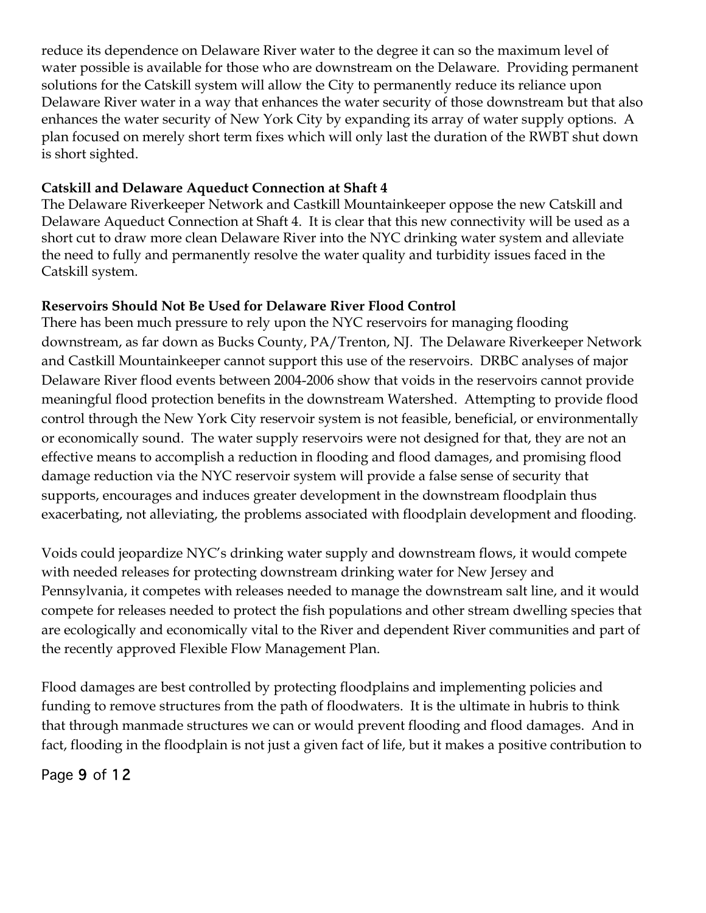reduce its dependence on Delaware River water to the degree it can so the maximum level of water possible is available for those who are downstream on the Delaware. Providing permanent solutions for the Catskill system will allow the City to permanently reduce its reliance upon Delaware River water in a way that enhances the water security of those downstream but that also enhances the water security of New York City by expanding its array of water supply options. A plan focused on merely short term fixes which will only last the duration of the RWBT shut down is short sighted.

# **Catskill and Delaware Aqueduct Connection at Shaft 4**

The Delaware Riverkeeper Network and Castkill Mountainkeeper oppose the new Catskill and Delaware Aqueduct Connection at Shaft 4. It is clear that this new connectivity will be used as a short cut to draw more clean Delaware River into the NYC drinking water system and alleviate the need to fully and permanently resolve the water quality and turbidity issues faced in the Catskill system.

# **Reservoirs Should Not Be Used for Delaware River Flood Control**

There has been much pressure to rely upon the NYC reservoirs for managing flooding downstream, as far down as Bucks County, PA/Trenton, NJ. The Delaware Riverkeeper Network and Castkill Mountainkeeper cannot support this use of the reservoirs. DRBC analyses of major Delaware River flood events between 2004-2006 show that voids in the reservoirs cannot provide meaningful flood protection benefits in the downstream Watershed. Attempting to provide flood control through the New York City reservoir system is not feasible, beneficial, or environmentally or economically sound. The water supply reservoirs were not designed for that, they are not an effective means to accomplish a reduction in flooding and flood damages, and promising flood damage reduction via the NYC reservoir system will provide a false sense of security that supports, encourages and induces greater development in the downstream floodplain thus exacerbating, not alleviating, the problems associated with floodplain development and flooding.

Voids could jeopardize NYC's drinking water supply and downstream flows, it would compete with needed releases for protecting downstream drinking water for New Jersey and Pennsylvania, it competes with releases needed to manage the downstream salt line, and it would compete for releases needed to protect the fish populations and other stream dwelling species that are ecologically and economically vital to the River and dependent River communities and part of the recently approved Flexible Flow Management Plan.

Flood damages are best controlled by protecting floodplains and implementing policies and funding to remove structures from the path of floodwaters. It is the ultimate in hubris to think that through manmade structures we can or would prevent flooding and flood damages. And in fact, flooding in the floodplain is not just a given fact of life, but it makes a positive contribution to

# Page 9 of 12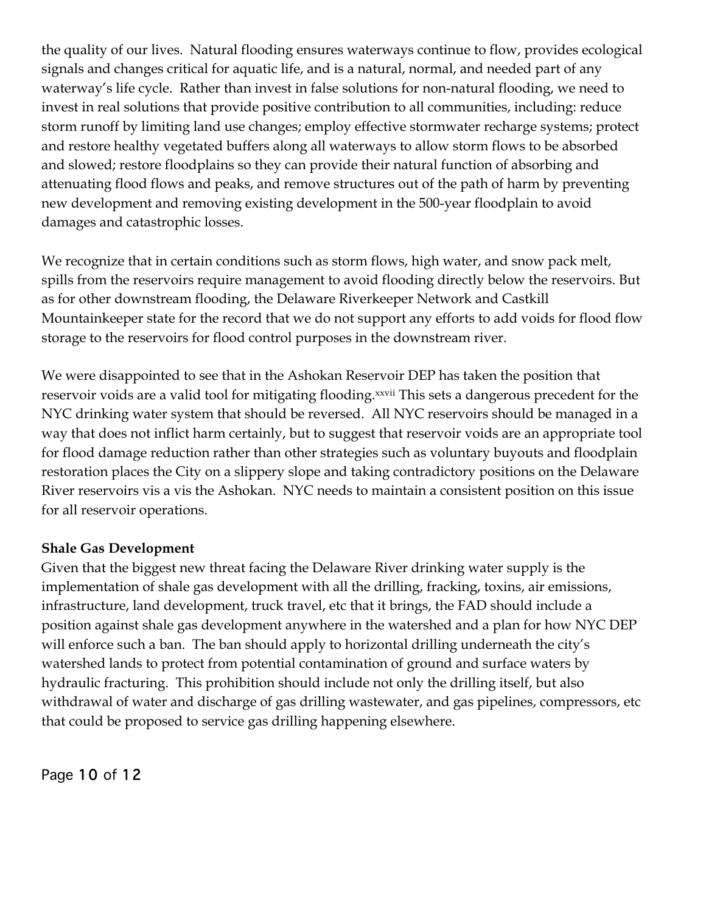the quality of our lives. Natural flooding ensures waterways continue to flow, provides ecological signals and changes critical for aquatic life, and is a natural, normal, and needed part of any waterway's life cycle. Rather than invest in false solutions for non-natural flooding, we need to invest in real solutions that provide positive contribution to all communities, including: reduce storm runoff by limiting land use changes; employ effective stormwater recharge systems; protect and restore healthy vegetated buffers along all waterways to allow storm flows to be absorbed and slowed; restore floodplains so they can provide their natural function of absorbing and attenuating flood flows and peaks, and remove structures out of the path of harm by preventing new development and removing existing development in the 500-year floodplain to avoid damages and catastrophic losses.

We recognize that in certain conditions such as storm flows, high water, and snow pack melt, spills from the reservoirs require management to avoid flooding directly below the reservoirs. But as for other downstream flooding, the Delaware Riverkeeper Network and Castkill Mountainkeeper state for the record that we do not support any efforts to add voids for flood flow storage to the reservoirs for flood control purposes in the downstream river.

We were disappointed to see that in the Ashokan Reservoir DEP has taken the position that reservoir voids are a valid tool for mitigating flooding.<sup>xxvii</sup> This sets a dangerous precedent for the NYC drinking water system that should be reversed. All NYC reservoirs should be managed in a way that does not inflict harm certainly, but to suggest that reservoir voids are an appropriate tool for flood damage reduction rather than other strategies such as voluntary buyouts and floodplain restoration places the City on a slippery slope and taking contradictory positions on the Delaware River reservoirs vis a vis the Ashokan. NYC needs to maintain a consistent position on this issue for all reservoir operations.

#### **Shale Gas Development**

Given that the biggest new threat facing the Delaware River drinking water supply is the implementation of shale gas development with all the drilling, fracking, toxins, air emissions, infrastructure, land development, truck travel, etc that it brings, the FAD should include a position against shale gas development anywhere in the watershed and a plan for how NYC DEP will enforce such a ban. The ban should apply to horizontal drilling underneath the city's watershed lands to protect from potential contamination of ground and surface waters by hydraulic fracturing. This prohibition should include not only the drilling itself, but also withdrawal of water and discharge of gas drilling wastewater, and gas pipelines, compressors, etc that could be proposed to service gas drilling happening elsewhere.

Page 10 of 12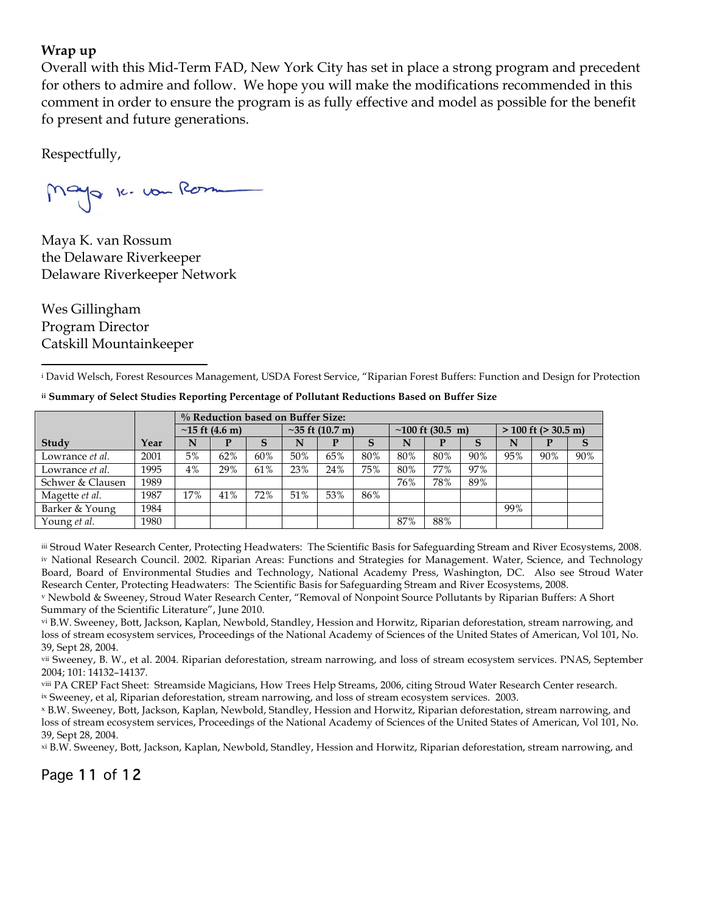#### **Wrap up**

Overall with this Mid-Term FAD, New York City has set in place a strong program and precedent for others to admire and follow. We hope you will make the modifications recommended in this comment in order to ensure the program is as fully effective and model as possible for the benefit fo present and future generations.

Respectfully,

Mayo 10. vou Rom

Maya K. van Rossum the Delaware Riverkeeper Delaware Riverkeeper Network

Wes Gillingham Program Director Catskill Mountainkeeper

**ii Summary of Select Studies Reporting Percentage of Pollutant Reductions Based on Buffer Size**

|                  |      | % Reduction based on Buffer Size: |     |     |                       |     |     |                            |     |     |                          |     |     |
|------------------|------|-----------------------------------|-----|-----|-----------------------|-----|-----|----------------------------|-----|-----|--------------------------|-----|-----|
|                  |      | $\sim$ 15 ft (4.6 m)              |     |     | $\sim$ 35 ft (10.7 m) |     |     | ~100 ft $(30.5 \text{ m})$ |     |     | $> 100$ ft ( $> 30.5$ m) |     |     |
| Study            | Year | N                                 |     | S   |                       |     |     | N                          |     |     | N                        |     | S   |
| Lowrance et al.  | 2001 | 5%                                | 62% | 60% | 50%                   | 65% | 80% | 80%                        | 80% | 90% | 95%                      | 90% | 90% |
| Lowrance et al.  | 1995 | 4%                                | 29% | 61% | 23%                   | 24% | 75% | 80%                        | 77% | 97% |                          |     |     |
| Schwer & Clausen | 1989 |                                   |     |     |                       |     |     | 76%                        | 78% | 89% |                          |     |     |
| Magette et al.   | 1987 | 17%                               | 41% | 72% | 51%                   | 53% | 86% |                            |     |     |                          |     |     |
| Barker & Young   | 1984 |                                   |     |     |                       |     |     |                            |     |     | 99%                      |     |     |
| Young et al.     | 1980 |                                   |     |     |                       |     |     | 87%                        | 88% |     |                          |     |     |

iii Stroud Water Research Center, Protecting Headwaters: The Scientific Basis for Safeguarding Stream and River Ecosystems, 2008. iv National Research Council. 2002. Riparian Areas: Functions and Strategies for Management. Water, Science, and Technology Board, Board of Environmental Studies and Technology, National Academy Press, Washington, DC. Also see Stroud Water Research Center, Protecting Headwaters: The Scientific Basis for Safeguarding Stream and River Ecosystems, 2008.

<sup>v</sup> Newbold & Sweeney, Stroud Water Research Center, "Removal of Nonpoint Source Pollutants by Riparian Buffers: A Short Summary of the Scientific Literature", June 2010.

vi B.W. Sweeney, Bott, Jackson, Kaplan, Newbold, Standley, Hession and Horwitz, Riparian deforestation, stream narrowing, and loss of stream ecosystem services, Proceedings of the National Academy of Sciences of the United States of American, Vol 101, No. 39, Sept 28, 2004.

vii Sweeney, B. W., et al. 2004. Riparian deforestation, stream narrowing, and loss of stream ecosystem services. PNAS, September 2004; 101: 14132–14137.

viii PA CREP Fact Sheet: Streamside Magicians, How Trees Help Streams, 2006, citing Stroud Water Research Center research. ix Sweeney, et al, Riparian deforestation, stream narrowing, and loss of stream ecosystem services. 2003.

<sup>x</sup> B.W. Sweeney, Bott, Jackson, Kaplan, Newbold, Standley, Hession and Horwitz, Riparian deforestation, stream narrowing, and loss of stream ecosystem services, Proceedings of the National Academy of Sciences of the United States of American, Vol 101, No. 39, Sept 28, 2004.

xi B.W. Sweeney, Bott, Jackson, Kaplan, Newbold, Standley, Hession and Horwitz, Riparian deforestation, stream narrowing, and

Page 11 of 12

<sup>i</sup> David Welsch, Forest Resources Management, USDA Forest Service, "Riparian Forest Buffers: Function and Design for Protection